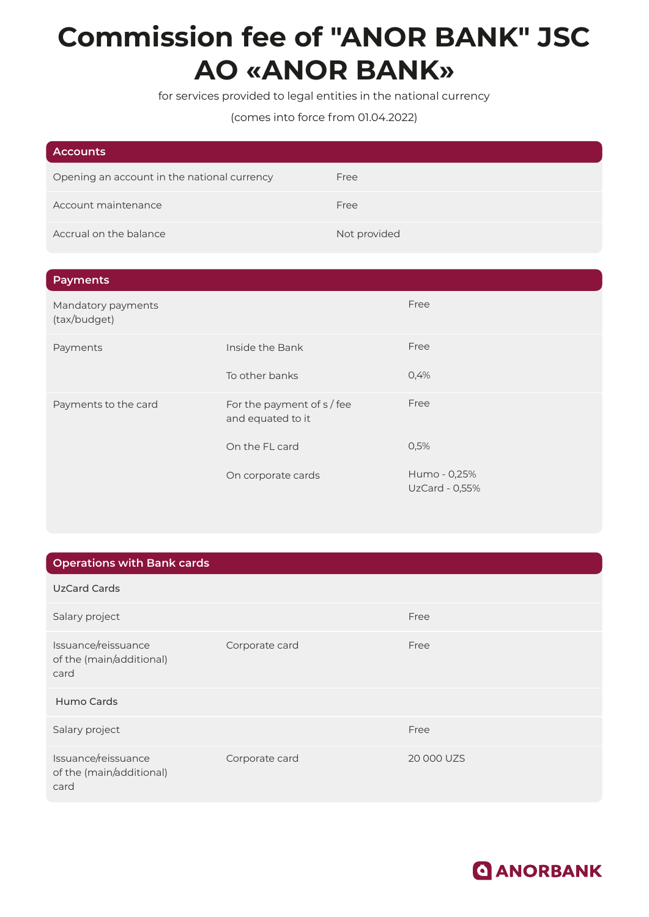## **Commission fee of "ANOR BANK" JSC АО «ANOR BANK»**

for services provided to legal entities in the national currency

## (comes into force from 01.04.2022)

| <b>Accounts</b>                             |              |
|---------------------------------------------|--------------|
| Opening an account in the national currency | Free         |
| Account maintenance                         | Free         |
| Accrual on the balance                      | Not provided |

| <b>Payments</b>                    |                                                 |                                |
|------------------------------------|-------------------------------------------------|--------------------------------|
| Mandatory payments<br>(tax/budget) |                                                 | Free                           |
| Payments                           | Inside the Bank                                 | Free                           |
|                                    | To other banks                                  | 0,4%                           |
| Payments to the card               | For the payment of s / fee<br>and equated to it | Free                           |
|                                    | On the FL card                                  | 0,5%                           |
|                                    | On corporate cards                              | Humo - 0,25%<br>UzCard - 0,55% |

## **Operations with Bank cards**

| UzCard Cards                                            |                |            |
|---------------------------------------------------------|----------------|------------|
| Salary project                                          |                | Free       |
| Issuance/reissuance<br>of the (main/additional)<br>card | Corporate card | Free       |
| Humo Cards                                              |                |            |
| Salary project                                          |                | Free       |
| Issuance/reissuance<br>of the (main/additional)<br>card | Corporate card | 20 000 UZS |